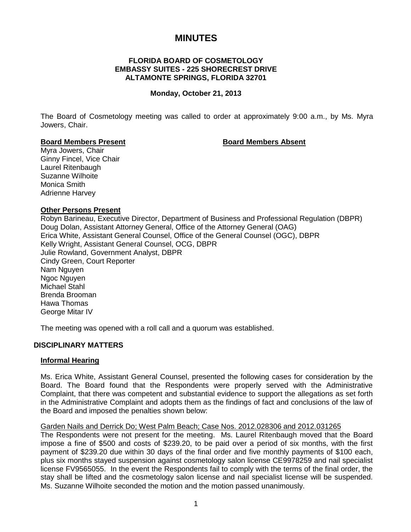# **MINUTES**

# **FLORIDA BOARD OF COSMETOLOGY EMBASSY SUITES - 225 SHORECREST DRIVE ALTAMONTE SPRINGS, FLORIDA 32701**

#### **Monday, October 21, 2013**

The Board of Cosmetology meeting was called to order at approximately 9:00 a.m., by Ms. Myra Jowers, Chair.

#### **Board Members Present Board Members Absent**

Myra Jowers, Chair Ginny Fincel, Vice Chair Laurel Ritenbaugh Suzanne Wilhoite Monica Smith Adrienne Harvey

#### **Other Persons Present**

Robyn Barineau, Executive Director, Department of Business and Professional Regulation (DBPR) Doug Dolan, Assistant Attorney General, Office of the Attorney General (OAG) Erica White, Assistant General Counsel, Office of the General Counsel (OGC), DBPR Kelly Wright, Assistant General Counsel, OCG, DBPR Julie Rowland, Government Analyst, DBPR Cindy Green, Court Reporter Nam Nguyen Ngoc Nguyen Michael Stahl Brenda Brooman Hawa Thomas George Mitar IV

The meeting was opened with a roll call and a quorum was established.

#### **DISCIPLINARY MATTERS**

#### **Informal Hearing**

Ms. Erica White, Assistant General Counsel, presented the following cases for consideration by the Board. The Board found that the Respondents were properly served with the Administrative Complaint, that there was competent and substantial evidence to support the allegations as set forth in the Administrative Complaint and adopts them as the findings of fact and conclusions of the law of the Board and imposed the penalties shown below:

#### Garden Nails and Derrick Do; West Palm Beach; Case Nos. 2012.028306 and 2012.031265

The Respondents were not present for the meeting. Ms. Laurel Ritenbaugh moved that the Board impose a fine of \$500 and costs of \$239.20, to be paid over a period of six months, with the first payment of \$239.20 due within 30 days of the final order and five monthly payments of \$100 each, plus six months stayed suspension against cosmetology salon license CE9978259 and nail specialist license FV9565055. In the event the Respondents fail to comply with the terms of the final order, the stay shall be lifted and the cosmetology salon license and nail specialist license will be suspended. Ms. Suzanne Wilhoite seconded the motion and the motion passed unanimously.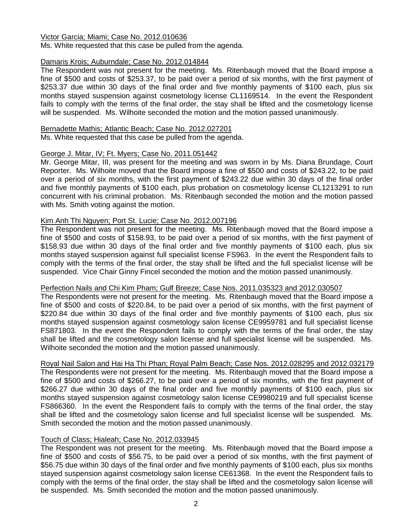#### Victor Garcia; Miami; Case No. 2012.010636

Ms. White requested that this case be pulled from the agenda.

# Damaris Krois; Auburndale; Case No. 2012.014844

The Respondent was not present for the meeting. Ms. Ritenbaugh moved that the Board impose a fine of \$500 and costs of \$253.37, to be paid over a period of six months, with the first payment of \$253.37 due within 30 days of the final order and five monthly payments of \$100 each, plus six months stayed suspension against cosmetology license CL1169514. In the event the Respondent fails to comply with the terms of the final order, the stay shall be lifted and the cosmetology license will be suspended. Ms. Wilhoite seconded the motion and the motion passed unanimously.

#### Bernadette Mathis; Atlantic Beach; Case No. 2012.027201

Ms. White requested that this case be pulled from the agenda.

### George J. Mitar, IV; Ft. Myers; Case No. 2011.051442

Mr. George Mitar, III, was present for the meeting and was sworn in by Ms. Diana Brundage, Court Reporter. Ms. Wilhoite moved that the Board impose a fine of \$500 and costs of \$243.22, to be paid over a period of six months, with the first payment of \$243.22 due within 30 days of the final order and five monthly payments of \$100 each, plus probation on cosmetology license CL1213291 to run concurrent with his criminal probation. Ms. Ritenbaugh seconded the motion and the motion passed with Ms. Smith voting against the motion.

### Kim Anh Thi Nguyen; Port St. Lucie; Case No. 2012.007196

The Respondent was not present for the meeting. Ms. Ritenbaugh moved that the Board impose a fine of \$500 and costs of \$158.93, to be paid over a period of six months, with the first payment of \$158.93 due within 30 days of the final order and five monthly payments of \$100 each, plus six months stayed suspension against full specialist license FS963. In the event the Respondent fails to comply with the terms of the final order, the stay shall be lifted and the full specialist license will be suspended. Vice Chair Ginny Fincel seconded the motion and the motion passed unanimously.

#### Perfection Nails and Chi Kim Pham; Gulf Breeze; Case Nos. 2011.035323 and 2012.030507

The Respondents were not present for the meeting. Ms. Ritenbaugh moved that the Board impose a fine of \$500 and costs of \$220.84, to be paid over a period of six months, with the first payment of \$220.84 due within 30 days of the final order and five monthly payments of \$100 each, plus six months stayed suspension against cosmetology salon license CE9959781 and full specialist license FS871803. In the event the Respondent fails to comply with the terms of the final order, the stay shall be lifted and the cosmetology salon license and full specialist license will be suspended. Ms. Wilhoite seconded the motion and the motion passed unanimously.

#### Royal Nail Salon and Hai Ha Thi Phan; Royal Palm Beach; Case Nos. 2012.028295 and 2012.032179

The Respondents were not present for the meeting. Ms. Ritenbaugh moved that the Board impose a fine of \$500 and costs of \$266.27, to be paid over a period of six months, with the first payment of \$266.27 due within 30 days of the final order and five monthly payments of \$100 each, plus six months stayed suspension against cosmetology salon license CE9980219 and full specialist license FS866360. In the event the Respondent fails to comply with the terms of the final order, the stay shall be lifted and the cosmetology salon license and full specialist license will be suspended. Ms. Smith seconded the motion and the motion passed unanimously.

# Touch of Class; Hialeah; Case No. 2012.033945

The Respondent was not present for the meeting. Ms. Ritenbaugh moved that the Board impose a fine of \$500 and costs of \$56.75, to be paid over a period of six months, with the first payment of \$56.75 due within 30 days of the final order and five monthly payments of \$100 each, plus six months stayed suspension against cosmetology salon license CE61368. In the event the Respondent fails to comply with the terms of the final order, the stay shall be lifted and the cosmetology salon license will be suspended. Ms. Smith seconded the motion and the motion passed unanimously.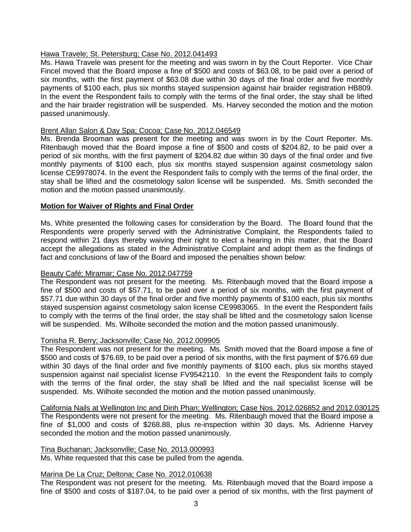# Hawa Travele; St. Petersburg; Case No. 2012.041493

Ms. Hawa Travele was present for the meeting and was sworn in by the Court Reporter. Vice Chair Fincel moved that the Board impose a fine of \$500 and costs of \$63.08, to be paid over a period of six months, with the first payment of \$63.08 due within 30 days of the final order and five monthly payments of \$100 each, plus six months stayed suspension against hair braider registration HB809. In the event the Respondent fails to comply with the terms of the final order, the stay shall be lifted and the hair braider registration will be suspended. Ms. Harvey seconded the motion and the motion passed unanimously.

### Brent Allan Salon & Day Spa; Cocoa; Case No. 2012.046549

Ms. Brenda Brooman was present for the meeting and was sworn in by the Court Reporter. Ms. Ritenbaugh moved that the Board impose a fine of \$500 and costs of \$204.82, to be paid over a period of six months, with the first payment of \$204.82 due within 30 days of the final order and five monthly payments of \$100 each, plus six months stayed suspension against cosmetology salon license CE9978074. In the event the Respondent fails to comply with the terms of the final order, the stay shall be lifted and the cosmetology salon license will be suspended. Ms. Smith seconded the motion and the motion passed unanimously.

### **Motion for Waiver of Rights and Final Order**

Ms. White presented the following cases for consideration by the Board. The Board found that the Respondents were properly served with the Administrative Complaint, the Respondents failed to respond within 21 days thereby waiving their right to elect a hearing in this matter, that the Board accept the allegations as stated in the Administrative Complaint and adopt them as the findings of fact and conclusions of law of the Board and imposed the penalties shown below:

# Beauty Café; Miramar; Case No. 2012.047759

The Respondent was not present for the meeting. Ms. Ritenbaugh moved that the Board impose a fine of \$500 and costs of \$57.71, to be paid over a period of six months, with the first payment of \$57.71 due within 30 days of the final order and five monthly payments of \$100 each, plus six months stayed suspension against cosmetology salon license CE9983065. In the event the Respondent fails to comply with the terms of the final order, the stay shall be lifted and the cosmetology salon license will be suspended. Ms. Wilhoite seconded the motion and the motion passed unanimously.

# Tonisha R. Berry; Jacksonville; Case No. 2012.009905

The Respondent was not present for the meeting. Ms. Smith moved that the Board impose a fine of \$500 and costs of \$76.69, to be paid over a period of six months, with the first payment of \$76.69 due within 30 days of the final order and five monthly payments of \$100 each, plus six months stayed suspension against nail specialist license FV9542110. In the event the Respondent fails to comply with the terms of the final order, the stay shall be lifted and the nail specialist license will be suspended. Ms. Wilhoite seconded the motion and the motion passed unanimously.

California Nails at Wellington Inc and Dinh Phan; Wellington; Case Nos. 2012.026852 and 2012.030125 The Respondents were not present for the meeting. Ms. Ritenbaugh moved that the Board impose a fine of \$1,000 and costs of \$268.88, plus re-inspection within 30 days. Ms. Adrienne Harvey seconded the motion and the motion passed unanimously.

#### Tina Buchanan; Jacksonville; Case No. 2013.000993

Ms. White requested that this case be pulled from the agenda.

#### Marina De La Cruz; Deltona; Case No. 2012.010638

The Respondent was not present for the meeting. Ms. Ritenbaugh moved that the Board impose a fine of \$500 and costs of \$187.04, to be paid over a period of six months, with the first payment of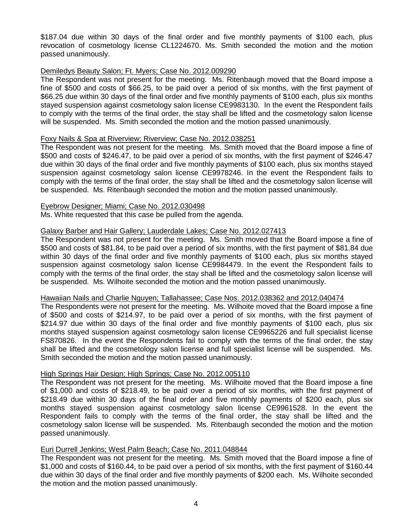\$187.04 due within 30 days of the final order and five monthly payments of \$100 each, plus revocation of cosmetology license CL1224670. Ms. Smith seconded the motion and the motion passed unanimously.

#### Demiledys Beauty Salon; Ft. Myers; Case No. 2012.009290

The Respondent was not present for the meeting. Ms. Ritenbaugh moved that the Board impose a fine of \$500 and costs of \$66.25, to be paid over a period of six months, with the first payment of \$66.25 due within 30 days of the final order and five monthly payments of \$100 each, plus six months stayed suspension against cosmetology salon license CE9983130. In the event the Respondent fails to comply with the terms of the final order, the stay shall be lifted and the cosmetology salon license will be suspended. Ms. Smith seconded the motion and the motion passed unanimously.

#### Foxy Nails & Spa at Riverview; Riverview; Case No. 2012.038251

The Respondent was not present for the meeting. Ms. Smith moved that the Board impose a fine of \$500 and costs of \$246.47, to be paid over a period of six months, with the first payment of \$246.47 due within 30 days of the final order and five monthly payments of \$100 each, plus six months stayed suspension against cosmetology salon license CE9978246. In the event the Respondent fails to comply with the terms of the final order, the stay shall be lifted and the cosmetology salon license will be suspended. Ms. Ritenbaugh seconded the motion and the motion passed unanimously.

#### Eyebrow Designer; Miami; Case No. 2012.030498

Ms. White requested that this case be pulled from the agenda.

### Galaxy Barber and Hair Gallery; Lauderdale Lakes; Case No. 2012.027413

The Respondent was not present for the meeting. Ms. Smith moved that the Board impose a fine of \$500 and costs of \$81.84, to be paid over a period of six months, with the first payment of \$81.84 due within 30 days of the final order and five monthly payments of \$100 each, plus six months stayed suspension against cosmetology salon license CE9984479. In the event the Respondent fails to comply with the terms of the final order, the stay shall be lifted and the cosmetology salon license will be suspended. Ms. Wilhoite seconded the motion and the motion passed unanimously.

# Hawaiian Nails and Charlie Nguyen; Tallahassee; Case Nos. 2012.038362 and 2012.040474

The Respondents were not present for the meeting. Ms. Wilhoite moved that the Board impose a fine of \$500 and costs of \$214.97, to be paid over a period of six months, with the first payment of \$214.97 due within 30 days of the final order and five monthly payments of \$100 each, plus six months stayed suspension against cosmetology salon license CE9965226 and full specialist license FS870826. In the event the Respondents fail to comply with the terms of the final order, the stay shall be lifted and the cosmetology salon license and full specialist license will be suspended. Ms. Smith seconded the motion and the motion passed unanimously.

# High Springs Hair Design; High Springs; Case No. 2012.005110

The Respondent was not present for the meeting. Ms. Wilhoite moved that the Board impose a fine of \$1,000 and costs of \$218.49, to be paid over a period of six months, with the first payment of \$218.49 due within 30 days of the final order and five monthly payments of \$200 each, plus six months stayed suspension against cosmetology salon license CE9961528. In the event the Respondent fails to comply with the terms of the final order, the stay shall be lifted and the cosmetology salon license will be suspended. Ms. Ritenbaugh seconded the motion and the motion passed unanimously.

# Euri Durrell Jenkins; West Palm Beach; Case No. 2011.048844

The Respondent was not present for the meeting. Ms. Smith moved that the Board impose a fine of \$1,000 and costs of \$160.44, to be paid over a period of six months, with the first payment of \$160.44 due within 30 days of the final order and five monthly payments of \$200 each. Ms. Wilhoite seconded the motion and the motion passed unanimously.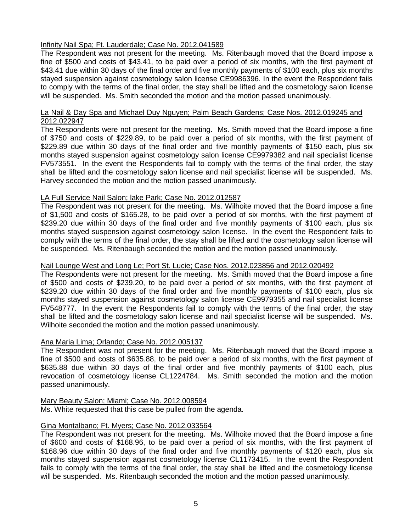# Infinity Nail Spa; Ft. Lauderdale; Case No. 2012.041589

The Respondent was not present for the meeting. Ms. Ritenbaugh moved that the Board impose a fine of \$500 and costs of \$43.41, to be paid over a period of six months, with the first payment of \$43.41 due within 30 days of the final order and five monthly payments of \$100 each, plus six months stayed suspension against cosmetology salon license CE9986396. In the event the Respondent fails to comply with the terms of the final order, the stay shall be lifted and the cosmetology salon license will be suspended. Ms. Smith seconded the motion and the motion passed unanimously.

#### La Nail & Day Spa and Michael Duy Nguyen; Palm Beach Gardens; Case Nos. 2012.019245 and 2012.022947

The Respondents were not present for the meeting. Ms. Smith moved that the Board impose a fine of \$750 and costs of \$229.89, to be paid over a period of six months, with the first payment of \$229.89 due within 30 days of the final order and five monthly payments of \$150 each, plus six months stayed suspension against cosmetology salon license CE9979382 and nail specialist license FV573551. In the event the Respondents fail to comply with the terms of the final order, the stay shall be lifted and the cosmetology salon license and nail specialist license will be suspended. Ms. Harvey seconded the motion and the motion passed unanimously.

### LA Full Service Nail Salon; lake Park; Case No. 2012.012587

The Respondent was not present for the meeting. Ms. Wilhoite moved that the Board impose a fine of \$1,500 and costs of \$165.28, to be paid over a period of six months, with the first payment of \$239.20 due within 30 days of the final order and five monthly payments of \$100 each, plus six months stayed suspension against cosmetology salon license. In the event the Respondent fails to comply with the terms of the final order, the stay shall be lifted and the cosmetology salon license will be suspended. Ms. Ritenbaugh seconded the motion and the motion passed unanimously.

# Nail Lounge West and Long Le; Port St. Lucie; Case Nos. 2012.023856 and 2012.020492

The Respondents were not present for the meeting. Ms. Smith moved that the Board impose a fine of \$500 and costs of \$239.20, to be paid over a period of six months, with the first payment of \$239.20 due within 30 days of the final order and five monthly payments of \$100 each, plus six months stayed suspension against cosmetology salon license CE9979355 and nail specialist license FV548777. In the event the Respondents fail to comply with the terms of the final order, the stay shall be lifted and the cosmetology salon license and nail specialist license will be suspended. Ms. Wilhoite seconded the motion and the motion passed unanimously.

#### Ana Maria Lima; Orlando; Case No. 2012.005137

The Respondent was not present for the meeting. Ms. Ritenbaugh moved that the Board impose a fine of \$500 and costs of \$635.88, to be paid over a period of six months, with the first payment of \$635.88 due within 30 days of the final order and five monthly payments of \$100 each, plus revocation of cosmetology license CL1224784. Ms. Smith seconded the motion and the motion passed unanimously.

#### Mary Beauty Salon; Miami; Case No. 2012.008594

Ms. White requested that this case be pulled from the agenda.

#### Gina Montalbano; Ft. Myers; Case No. 2012.033564

The Respondent was not present for the meeting. Ms. Wilhoite moved that the Board impose a fine of \$600 and costs of \$168.96, to be paid over a period of six months, with the first payment of \$168.96 due within 30 days of the final order and five monthly payments of \$120 each, plus six months stayed suspension against cosmetology license CL1173415. In the event the Respondent fails to comply with the terms of the final order, the stay shall be lifted and the cosmetology license will be suspended. Ms. Ritenbaugh seconded the motion and the motion passed unanimously.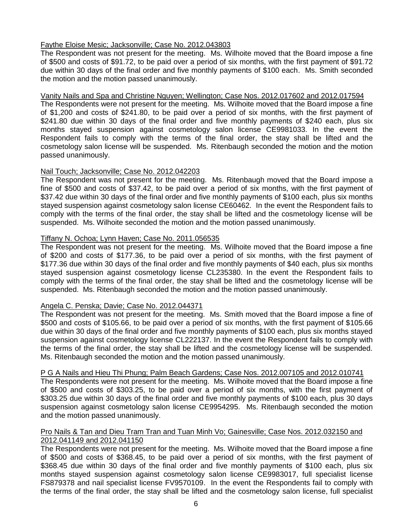# Faythe Eloise Mesic; Jacksonville; Case No. 2012.043803

The Respondent was not present for the meeting. Ms. Wilhoite moved that the Board impose a fine of \$500 and costs of \$91.72, to be paid over a period of six months, with the first payment of \$91.72 due within 30 days of the final order and five monthly payments of \$100 each. Ms. Smith seconded the motion and the motion passed unanimously.

# Vanity Nails and Spa and Christine Nguyen; Wellington; Case Nos. 2012.017602 and 2012.017594

The Respondents were not present for the meeting. Ms. Wilhoite moved that the Board impose a fine of \$1,200 and costs of \$241.80, to be paid over a period of six months, with the first payment of \$241.80 due within 30 days of the final order and five monthly payments of \$240 each, plus six months stayed suspension against cosmetology salon license CE9981033. In the event the Respondent fails to comply with the terms of the final order, the stay shall be lifted and the cosmetology salon license will be suspended. Ms. Ritenbaugh seconded the motion and the motion passed unanimously.

# Nail Touch; Jacksonville; Case No. 2012.042203

The Respondent was not present for the meeting. Ms. Ritenbaugh moved that the Board impose a fine of \$500 and costs of \$37.42, to be paid over a period of six months, with the first payment of \$37.42 due within 30 days of the final order and five monthly payments of \$100 each, plus six months stayed suspension against cosmetology salon license CE60462. In the event the Respondent fails to comply with the terms of the final order, the stay shall be lifted and the cosmetology license will be suspended. Ms. Wilhoite seconded the motion and the motion passed unanimously.

# Tiffany N. Ochoa; Lynn Haven; Case No. 2011.056535

The Respondent was not present for the meeting. Ms. Wilhoite moved that the Board impose a fine of \$200 and costs of \$177.36, to be paid over a period of six months, with the first payment of \$177.36 due within 30 days of the final order and five monthly payments of \$40 each, plus six months stayed suspension against cosmetology license CL235380. In the event the Respondent fails to comply with the terms of the final order, the stay shall be lifted and the cosmetology license will be suspended. Ms. Ritenbaugh seconded the motion and the motion passed unanimously.

# Angela C. Penska; Davie; Case No. 2012.044371

The Respondent was not present for the meeting. Ms. Smith moved that the Board impose a fine of \$500 and costs of \$105.66, to be paid over a period of six months, with the first payment of \$105.66 due within 30 days of the final order and five monthly payments of \$100 each, plus six months stayed suspension against cosmetology license CL222137. In the event the Respondent fails to comply with the terms of the final order, the stay shall be lifted and the cosmetology license will be suspended. Ms. Ritenbaugh seconded the motion and the motion passed unanimously.

# P G A Nails and Hieu Thi Phung; Palm Beach Gardens; Case Nos. 2012.007105 and 2012.010741

The Respondents were not present for the meeting. Ms. Wilhoite moved that the Board impose a fine of \$500 and costs of \$303.25, to be paid over a period of six months, with the first payment of \$303.25 due within 30 days of the final order and five monthly payments of \$100 each, plus 30 days suspension against cosmetology salon license CE9954295. Ms. Ritenbaugh seconded the motion and the motion passed unanimously.

### Pro Nails & Tan and Dieu Tram Tran and Tuan Minh Vo; Gainesville; Case Nos. 2012.032150 and 2012.041149 and 2012.041150

The Respondents were not present for the meeting. Ms. Wilhoite moved that the Board impose a fine of \$500 and costs of \$368.45, to be paid over a period of six months, with the first payment of \$368.45 due within 30 days of the final order and five monthly payments of \$100 each, plus six months stayed suspension against cosmetology salon license CE9983017, full specialist license FS879378 and nail specialist license FV9570109. In the event the Respondents fail to comply with the terms of the final order, the stay shall be lifted and the cosmetology salon license, full specialist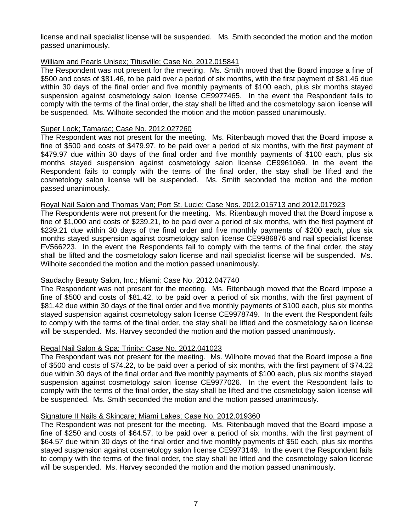license and nail specialist license will be suspended. Ms. Smith seconded the motion and the motion passed unanimously.

#### William and Pearls Unisex; Titusville; Case No. 2012.015841

The Respondent was not present for the meeting. Ms. Smith moved that the Board impose a fine of \$500 and costs of \$81.46, to be paid over a period of six months, with the first payment of \$81.46 due within 30 days of the final order and five monthly payments of \$100 each, plus six months stayed suspension against cosmetology salon license CE9977465. In the event the Respondent fails to comply with the terms of the final order, the stay shall be lifted and the cosmetology salon license will be suspended. Ms. Wilhoite seconded the motion and the motion passed unanimously.

#### Super Look; Tamarac; Case No. 2012.027260

The Respondent was not present for the meeting. Ms. Ritenbaugh moved that the Board impose a fine of \$500 and costs of \$479.97, to be paid over a period of six months, with the first payment of \$479.97 due within 30 days of the final order and five monthly payments of \$100 each, plus six months stayed suspension against cosmetology salon license CE9961069. In the event the Respondent fails to comply with the terms of the final order, the stay shall be lifted and the cosmetology salon license will be suspended. Ms. Smith seconded the motion and the motion passed unanimously.

### Royal Nail Salon and Thomas Van; Port St. Lucie; Case Nos. 2012.015713 and 2012.017923

The Respondents were not present for the meeting. Ms. Ritenbaugh moved that the Board impose a fine of \$1,000 and costs of \$239.21, to be paid over a period of six months, with the first payment of \$239.21 due within 30 days of the final order and five monthly payments of \$200 each, plus six months stayed suspension against cosmetology salon license CE9986876 and nail specialist license FV566223. In the event the Respondents fail to comply with the terms of the final order, the stay shall be lifted and the cosmetology salon license and nail specialist license will be suspended. Ms. Wilhoite seconded the motion and the motion passed unanimously.

# Saudachy Beauty Salon, Inc.; Miami; Case No. 2012.047740

The Respondent was not present for the meeting. Ms. Ritenbaugh moved that the Board impose a fine of \$500 and costs of \$81.42, to be paid over a period of six months, with the first payment of \$81.42 due within 30 days of the final order and five monthly payments of \$100 each, plus six months stayed suspension against cosmetology salon license CE9978749. In the event the Respondent fails to comply with the terms of the final order, the stay shall be lifted and the cosmetology salon license will be suspended. Ms. Harvey seconded the motion and the motion passed unanimously.

#### Regal Nail Salon & Spa; Trinity; Case No. 2012.041023

The Respondent was not present for the meeting. Ms. Wilhoite moved that the Board impose a fine of \$500 and costs of \$74.22, to be paid over a period of six months, with the first payment of \$74.22 due within 30 days of the final order and five monthly payments of \$100 each, plus six months stayed suspension against cosmetology salon license CE9977026. In the event the Respondent fails to comply with the terms of the final order, the stay shall be lifted and the cosmetology salon license will be suspended. Ms. Smith seconded the motion and the motion passed unanimously.

#### Signature II Nails & Skincare; Miami Lakes; Case No. 2012.019360

The Respondent was not present for the meeting. Ms. Ritenbaugh moved that the Board impose a fine of \$250 and costs of \$64.57, to be paid over a period of six months, with the first payment of \$64.57 due within 30 days of the final order and five monthly payments of \$50 each, plus six months stayed suspension against cosmetology salon license CE9973149. In the event the Respondent fails to comply with the terms of the final order, the stay shall be lifted and the cosmetology salon license will be suspended. Ms. Harvey seconded the motion and the motion passed unanimously.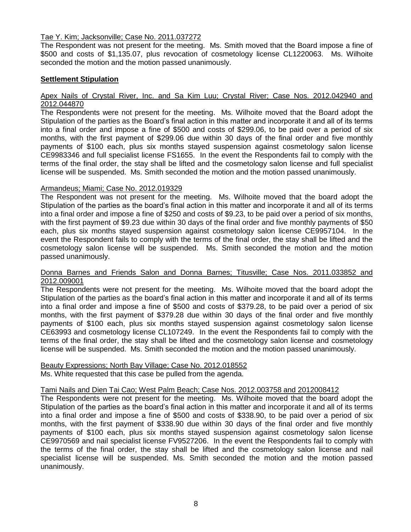### Tae Y. Kim; Jacksonville; Case No. 2011.037272

The Respondent was not present for the meeting. Ms. Smith moved that the Board impose a fine of \$500 and costs of \$1,135.07, plus revocation of cosmetology license CL1220063. Ms. Wilhoite seconded the motion and the motion passed unanimously.

# **Settlement Stipulation**

#### Apex Nails of Crystal River, Inc. and Sa Kim Luu; Crystal River; Case Nos. 2012.042940 and 2012.044870

The Respondents were not present for the meeting. Ms. Wilhoite moved that the Board adopt the Stipulation of the parties as the Board's final action in this matter and incorporate it and all of its terms into a final order and impose a fine of \$500 and costs of \$299.06, to be paid over a period of six months, with the first payment of \$299.06 due within 30 days of the final order and five monthly payments of \$100 each, plus six months stayed suspension against cosmetology salon license CE9983346 and full specialist license FS1655. In the event the Respondents fail to comply with the terms of the final order, the stay shall be lifted and the cosmetology salon license and full specialist license will be suspended. Ms. Smith seconded the motion and the motion passed unanimously.

### Armandeus; Miami; Case No. 2012.019329

The Respondent was not present for the meeting. Ms. Wilhoite moved that the board adopt the Stipulation of the parties as the board's final action in this matter and incorporate it and all of its terms into a final order and impose a fine of \$250 and costs of \$9.23, to be paid over a period of six months, with the first payment of \$9.23 due within 30 days of the final order and five monthly payments of \$50 each, plus six months stayed suspension against cosmetology salon license CE9957104. In the event the Respondent fails to comply with the terms of the final order, the stay shall be lifted and the cosmetology salon license will be suspended. Ms. Smith seconded the motion and the motion passed unanimously.

#### Donna Barnes and Friends Salon and Donna Barnes; Titusville; Case Nos. 2011.033852 and 2012.009001

The Respondents were not present for the meeting. Ms. Wilhoite moved that the board adopt the Stipulation of the parties as the board's final action in this matter and incorporate it and all of its terms into a final order and impose a fine of \$500 and costs of \$379.28, to be paid over a period of six months, with the first payment of \$379.28 due within 30 days of the final order and five monthly payments of \$100 each, plus six months stayed suspension against cosmetology salon license CE63993 and cosmetology license CL107249. In the event the Respondents fail to comply with the terms of the final order, the stay shall be lifted and the cosmetology salon license and cosmetology license will be suspended. Ms. Smith seconded the motion and the motion passed unanimously.

# Beauty Expressions; North Bay Village; Case No. 2012.018552

Ms. White requested that this case be pulled from the agenda.

#### Tami Nails and Dien Tai Cao; West Palm Beach; Case Nos. 2012.003758 and 2012008412

The Respondents were not present for the meeting. Ms. Wilhoite moved that the board adopt the Stipulation of the parties as the board's final action in this matter and incorporate it and all of its terms into a final order and impose a fine of \$500 and costs of \$338.90, to be paid over a period of six months, with the first payment of \$338.90 due within 30 days of the final order and five monthly payments of \$100 each, plus six months stayed suspension against cosmetology salon license CE9970569 and nail specialist license FV9527206. In the event the Respondents fail to comply with the terms of the final order, the stay shall be lifted and the cosmetology salon license and nail specialist license will be suspended. Ms. Smith seconded the motion and the motion passed unanimously.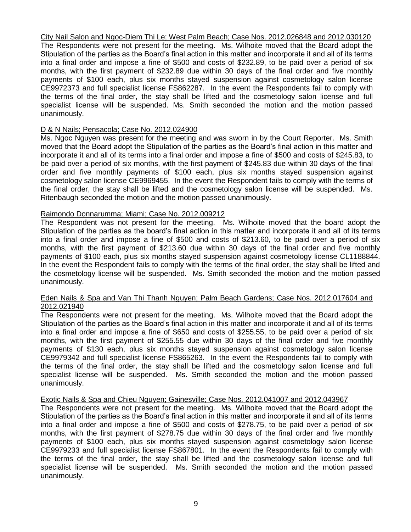City Nail Salon and Ngoc-Diem Thi Le; West Palm Beach; Case Nos. 2012.026848 and 2012.030120

The Respondents were not present for the meeting. Ms. Wilhoite moved that the Board adopt the Stipulation of the parties as the Board's final action in this matter and incorporate it and all of its terms into a final order and impose a fine of \$500 and costs of \$232.89, to be paid over a period of six months, with the first payment of \$232.89 due within 30 days of the final order and five monthly payments of \$100 each, plus six months stayed suspension against cosmetology salon license CE9972373 and full specialist license FS862287. In the event the Respondents fail to comply with the terms of the final order, the stay shall be lifted and the cosmetology salon license and full specialist license will be suspended. Ms. Smith seconded the motion and the motion passed unanimously.

# D & N Nails; Pensacola; Case No. 2012.024900

Ms. Ngoc Nguyen was present for the meeting and was sworn in by the Court Reporter. Ms. Smith moved that the Board adopt the Stipulation of the parties as the Board's final action in this matter and incorporate it and all of its terms into a final order and impose a fine of \$500 and costs of \$245.83, to be paid over a period of six months, with the first payment of \$245.83 due within 30 days of the final order and five monthly payments of \$100 each, plus six months stayed suspension against cosmetology salon license CE9969455. In the event the Respondent fails to comply with the terms of the final order, the stay shall be lifted and the cosmetology salon license will be suspended. Ms. Ritenbaugh seconded the motion and the motion passed unanimously.

### Raimondo Donnarumma; Miami; Case No. 2012.009212

The Respondent was not present for the meeting. Ms. Wilhoite moved that the board adopt the Stipulation of the parties as the board's final action in this matter and incorporate it and all of its terms into a final order and impose a fine of \$500 and costs of \$213.60, to be paid over a period of six months, with the first payment of \$213.60 due within 30 days of the final order and five monthly payments of \$100 each, plus six months stayed suspension against cosmetology license CL1188844. In the event the Respondent fails to comply with the terms of the final order, the stay shall be lifted and the cosmetology license will be suspended. Ms. Smith seconded the motion and the motion passed unanimously.

#### Eden Nails & Spa and Van Thi Thanh Nguyen; Palm Beach Gardens; Case Nos. 2012.017604 and 2012.021940

The Respondents were not present for the meeting. Ms. Wilhoite moved that the Board adopt the Stipulation of the parties as the Board's final action in this matter and incorporate it and all of its terms into a final order and impose a fine of \$650 and costs of \$255.55, to be paid over a period of six months, with the first payment of \$255.55 due within 30 days of the final order and five monthly payments of \$130 each, plus six months stayed suspension against cosmetology salon license CE9979342 and full specialist license FS865263. In the event the Respondents fail to comply with the terms of the final order, the stay shall be lifted and the cosmetology salon license and full specialist license will be suspended. Ms. Smith seconded the motion and the motion passed unanimously.

# Exotic Nails & Spa and Chieu Nguyen; Gainesville; Case Nos. 2012.041007 and 2012.043967

The Respondents were not present for the meeting. Ms. Wilhoite moved that the Board adopt the Stipulation of the parties as the Board's final action in this matter and incorporate it and all of its terms into a final order and impose a fine of \$500 and costs of \$278.75, to be paid over a period of six months, with the first payment of \$278.75 due within 30 days of the final order and five monthly payments of \$100 each, plus six months stayed suspension against cosmetology salon license CE9979233 and full specialist license FS867801. In the event the Respondents fail to comply with the terms of the final order, the stay shall be lifted and the cosmetology salon license and full specialist license will be suspended. Ms. Smith seconded the motion and the motion passed unanimously.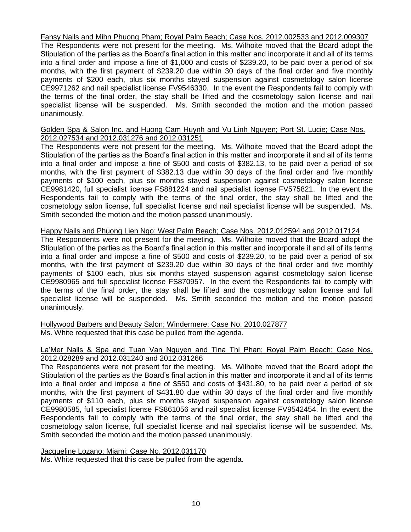Fansy Nails and Mihn Phuong Pham; Royal Palm Beach; Case Nos. 2012.002533 and 2012.009307

The Respondents were not present for the meeting. Ms. Wilhoite moved that the Board adopt the Stipulation of the parties as the Board's final action in this matter and incorporate it and all of its terms into a final order and impose a fine of \$1,000 and costs of \$239.20, to be paid over a period of six months, with the first payment of \$239.20 due within 30 days of the final order and five monthly payments of \$200 each, plus six months stayed suspension against cosmetology salon license CE9971262 and nail specialist license FV9546330. In the event the Respondents fail to comply with the terms of the final order, the stay shall be lifted and the cosmetology salon license and nail specialist license will be suspended. Ms. Smith seconded the motion and the motion passed unanimously.

#### Golden Spa & Salon Inc. and Huong Cam Huynh and Vu Linh Nguyen; Port St. Lucie; Case Nos. 2012.027534 and 2012.031276 and 2012.031251

The Respondents were not present for the meeting. Ms. Wilhoite moved that the Board adopt the Stipulation of the parties as the Board's final action in this matter and incorporate it and all of its terms into a final order and impose a fine of \$500 and costs of \$382.13, to be paid over a period of six months, with the first payment of \$382.13 due within 30 days of the final order and five monthly payments of \$100 each, plus six months stayed suspension against cosmetology salon license CE9981420, full specialist license FS881224 and nail specialist license FV575821. In the event the Respondents fail to comply with the terms of the final order, the stay shall be lifted and the cosmetology salon license, full specialist license and nail specialist license will be suspended. Ms. Smith seconded the motion and the motion passed unanimously.

Happy Nails and Phuong Lien Ngo; West Palm Beach; Case Nos. 2012.012594 and 2012.017124

The Respondents were not present for the meeting. Ms. Wilhoite moved that the Board adopt the Stipulation of the parties as the Board's final action in this matter and incorporate it and all of its terms into a final order and impose a fine of \$500 and costs of \$239.20, to be paid over a period of six months, with the first payment of \$239.20 due within 30 days of the final order and five monthly payments of \$100 each, plus six months stayed suspension against cosmetology salon license CE9980965 and full specialist license FS870957. In the event the Respondents fail to comply with the terms of the final order, the stay shall be lifted and the cosmetology salon license and full specialist license will be suspended. Ms. Smith seconded the motion and the motion passed unanimously.

Hollywood Barbers and Beauty Salon; Windermere; Case No. 2010.027877 Ms. White requested that this case be pulled from the agenda.

#### La'Mer Nails & Spa and Tuan Van Nguyen and Tina Thi Phan; Royal Palm Beach; Case Nos. 2012.028289 and 2012.031240 and 2012.031266

The Respondents were not present for the meeting. Ms. Wilhoite moved that the Board adopt the Stipulation of the parties as the Board's final action in this matter and incorporate it and all of its terms into a final order and impose a fine of \$550 and costs of \$431.80, to be paid over a period of six months, with the first payment of \$431.80 due within 30 days of the final order and five monthly payments of \$110 each, plus six months stayed suspension against cosmetology salon license CE9980585, full specialist license FS861056 and nail specialist license FV9542454. In the event the Respondents fail to comply with the terms of the final order, the stay shall be lifted and the cosmetology salon license, full specialist license and nail specialist license will be suspended. Ms. Smith seconded the motion and the motion passed unanimously.

Jacqueline Lozano; Miami; Case No. 2012.031170 Ms. White requested that this case be pulled from the agenda.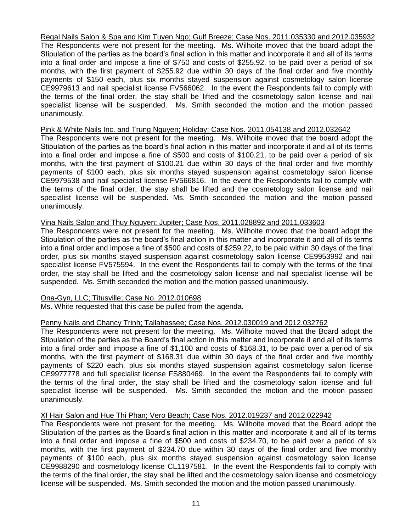Regal Nails Salon & Spa and Kim Tuyen Ngo; Gulf Breeze; Case Nos. 2011.035330 and 2012.035932 The Respondents were not present for the meeting. Ms. Wilhoite moved that the board adopt the Stipulation of the parties as the board's final action in this matter and incorporate it and all of its terms into a final order and impose a fine of \$750 and costs of \$255.92, to be paid over a period of six months, with the first payment of \$255.92 due within 30 days of the final order and five monthly payments of \$150 each, plus six months stayed suspension against cosmetology salon license CE9979613 and nail specialist license FV566062. In the event the Respondents fail to comply with the terms of the final order, the stay shall be lifted and the cosmetology salon license and nail specialist license will be suspended. Ms. Smith seconded the motion and the motion passed unanimously.

#### Pink & White Nails Inc. and Trung Nguyen; Holiday; Case Nos. 2011.054138 and 2012.032642

The Respondents were not present for the meeting. Ms. Wilhoite moved that the board adopt the Stipulation of the parties as the board's final action in this matter and incorporate it and all of its terms into a final order and impose a fine of \$500 and costs of \$100.21, to be paid over a period of six months, with the first payment of \$100.21 due within 30 days of the final order and five monthly payments of \$100 each, plus six months stayed suspension against cosmetology salon license CE9979538 and nail specialist license FV566816. In the event the Respondents fail to comply with the terms of the final order, the stay shall be lifted and the cosmetology salon license and nail specialist license will be suspended. Ms. Smith seconded the motion and the motion passed unanimously.

### Vina Nails Salon and Thuy Nguyen; Jupiter; Case Nos. 2011.028892 and 2011.033603

The Respondents were not present for the meeting. Ms. Wilhoite moved that the board adopt the Stipulation of the parties as the board's final action in this matter and incorporate it and all of its terms into a final order and impose a fine of \$500 and costs of \$259.22, to be paid within 30 days of the final order, plus six months stayed suspension against cosmetology salon license CE9953992 and nail specialist license FV575594. In the event the Respondents fail to comply with the terms of the final order, the stay shall be lifted and the cosmetology salon license and nail specialist license will be suspended. Ms. Smith seconded the motion and the motion passed unanimously.

# Ona-Gyn, LLC; Titusville; Case No. 2012.010698

Ms. White requested that this case be pulled from the agenda.

# Penny Nails and Chancy Trinh; Tallahassee; Case Nos. 2012.030019 and 2012.032762

The Respondents were not present for the meeting. Ms. Wilhoite moved that the Board adopt the Stipulation of the parties as the Board's final action in this matter and incorporate it and all of its terms into a final order and impose a fine of \$1,100 and costs of \$168.31, to be paid over a period of six months, with the first payment of \$168.31 due within 30 days of the final order and five monthly payments of \$220 each, plus six months stayed suspension against cosmetology salon license CE9977778 and full specialist license FS880469. In the event the Respondents fail to comply with the terms of the final order, the stay shall be lifted and the cosmetology salon license and full specialist license will be suspended. Ms. Smith seconded the motion and the motion passed unanimously.

# XI Hair Salon and Hue Thi Phan; Vero Beach; Case Nos. 2012.019237 and 2012.022942

The Respondents were not present for the meeting. Ms. Wilhoite moved that the Board adopt the Stipulation of the parties as the Board's final action in this matter and incorporate it and all of its terms into a final order and impose a fine of \$500 and costs of \$234.70, to be paid over a period of six months, with the first payment of \$234.70 due within 30 days of the final order and five monthly payments of \$100 each, plus six months stayed suspension against cosmetology salon license CE9988290 and cosmetology license CL1197581. In the event the Respondents fail to comply with the terms of the final order, the stay shall be lifted and the cosmetology salon license and cosmetology license will be suspended. Ms. Smith seconded the motion and the motion passed unanimously.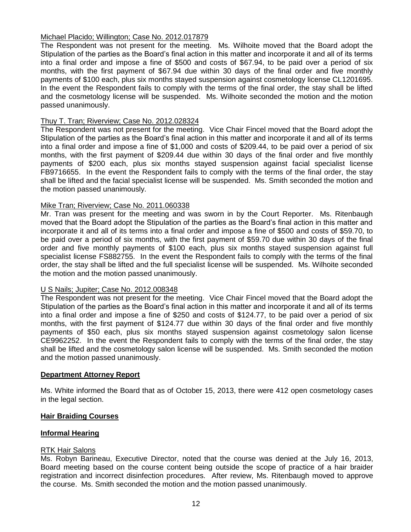# Michael Placido; Willington; Case No. 2012.017879

The Respondent was not present for the meeting. Ms. Wilhoite moved that the Board adopt the Stipulation of the parties as the Board's final action in this matter and incorporate it and all of its terms into a final order and impose a fine of \$500 and costs of \$67.94, to be paid over a period of six months, with the first payment of \$67.94 due within 30 days of the final order and five monthly payments of \$100 each, plus six months stayed suspension against cosmetology license CL1201695. In the event the Respondent fails to comply with the terms of the final order, the stay shall be lifted and the cosmetology license will be suspended. Ms. Wilhoite seconded the motion and the motion passed unanimously.

### Thuy T. Tran; Riverview; Case No. 2012.028324

The Respondent was not present for the meeting. Vice Chair Fincel moved that the Board adopt the Stipulation of the parties as the Board's final action in this matter and incorporate it and all of its terms into a final order and impose a fine of \$1,000 and costs of \$209.44, to be paid over a period of six months, with the first payment of \$209.44 due within 30 days of the final order and five monthly payments of \$200 each, plus six months stayed suspension against facial specialist license FB9716655. In the event the Respondent fails to comply with the terms of the final order, the stay shall be lifted and the facial specialist license will be suspended. Ms. Smith seconded the motion and the motion passed unanimously.

### Mike Tran; Riverview; Case No. 2011.060338

Mr. Tran was present for the meeting and was sworn in by the Court Reporter. Ms. Ritenbaugh moved that the Board adopt the Stipulation of the parties as the Board's final action in this matter and incorporate it and all of its terms into a final order and impose a fine of \$500 and costs of \$59.70, to be paid over a period of six months, with the first payment of \$59.70 due within 30 days of the final order and five monthly payments of \$100 each, plus six months stayed suspension against full specialist license FS882755. In the event the Respondent fails to comply with the terms of the final order, the stay shall be lifted and the full specialist license will be suspended. Ms. Wilhoite seconded the motion and the motion passed unanimously.

#### U S Nails; Jupiter; Case No. 2012.008348

The Respondent was not present for the meeting. Vice Chair Fincel moved that the Board adopt the Stipulation of the parties as the Board's final action in this matter and incorporate it and all of its terms into a final order and impose a fine of \$250 and costs of \$124.77, to be paid over a period of six months, with the first payment of \$124.77 due within 30 days of the final order and five monthly payments of \$50 each, plus six months stayed suspension against cosmetology salon license CE9962252. In the event the Respondent fails to comply with the terms of the final order, the stay shall be lifted and the cosmetology salon license will be suspended. Ms. Smith seconded the motion and the motion passed unanimously.

#### **Department Attorney Report**

Ms. White informed the Board that as of October 15, 2013, there were 412 open cosmetology cases in the legal section.

#### **Hair Braiding Courses**

#### **Informal Hearing**

#### RTK Hair Salons

Ms. Robyn Barineau, Executive Director, noted that the course was denied at the July 16, 2013, Board meeting based on the course content being outside the scope of practice of a hair braider registration and incorrect disinfection procedures. After review, Ms. Ritenbaugh moved to approve the course. Ms. Smith seconded the motion and the motion passed unanimously.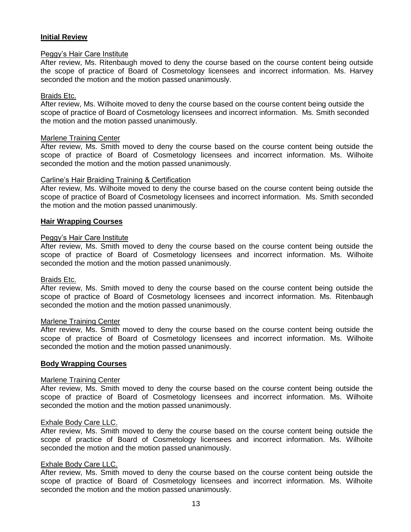# **Initial Review**

#### Peggy's Hair Care Institute

After review, Ms. Ritenbaugh moved to deny the course based on the course content being outside the scope of practice of Board of Cosmetology licensees and incorrect information. Ms. Harvey seconded the motion and the motion passed unanimously.

#### Braids Etc.

After review, Ms. Wilhoite moved to deny the course based on the course content being outside the scope of practice of Board of Cosmetology licensees and incorrect information. Ms. Smith seconded the motion and the motion passed unanimously.

#### Marlene Training Center

After review, Ms. Smith moved to deny the course based on the course content being outside the scope of practice of Board of Cosmetology licensees and incorrect information. Ms. Wilhoite seconded the motion and the motion passed unanimously.

### Carline's Hair Braiding Training & Certification

After review, Ms. Wilhoite moved to deny the course based on the course content being outside the scope of practice of Board of Cosmetology licensees and incorrect information. Ms. Smith seconded the motion and the motion passed unanimously.

### **Hair Wrapping Courses**

#### Peggy's Hair Care Institute

After review, Ms. Smith moved to deny the course based on the course content being outside the scope of practice of Board of Cosmetology licensees and incorrect information. Ms. Wilhoite seconded the motion and the motion passed unanimously.

#### Braids Etc.

After review, Ms. Smith moved to deny the course based on the course content being outside the scope of practice of Board of Cosmetology licensees and incorrect information. Ms. Ritenbaugh seconded the motion and the motion passed unanimously.

#### Marlene Training Center

After review, Ms. Smith moved to deny the course based on the course content being outside the scope of practice of Board of Cosmetology licensees and incorrect information. Ms. Wilhoite seconded the motion and the motion passed unanimously.

#### **Body Wrapping Courses**

#### Marlene Training Center

After review, Ms. Smith moved to deny the course based on the course content being outside the scope of practice of Board of Cosmetology licensees and incorrect information. Ms. Wilhoite seconded the motion and the motion passed unanimously.

#### Exhale Body Care LLC.

After review, Ms. Smith moved to deny the course based on the course content being outside the scope of practice of Board of Cosmetology licensees and incorrect information. Ms. Wilhoite seconded the motion and the motion passed unanimously.

#### Exhale Body Care LLC.

After review, Ms. Smith moved to deny the course based on the course content being outside the scope of practice of Board of Cosmetology licensees and incorrect information. Ms. Wilhoite seconded the motion and the motion passed unanimously.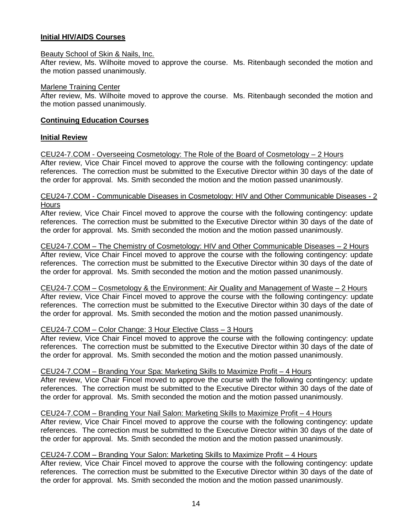# **Initial HIV/AIDS Courses**

#### Beauty School of Skin & Nails, Inc.

After review, Ms. Wilhoite moved to approve the course. Ms. Ritenbaugh seconded the motion and the motion passed unanimously.

#### Marlene Training Center

After review, Ms. Wilhoite moved to approve the course. Ms. Ritenbaugh seconded the motion and the motion passed unanimously.

# **Continuing Education Courses**

# **Initial Review**

CEU24-7.COM - Overseeing Cosmetology: The Role of the Board of Cosmetology – 2 Hours After review, Vice Chair Fincel moved to approve the course with the following contingency: update references. The correction must be submitted to the Executive Director within 30 days of the date of the order for approval. Ms. Smith seconded the motion and the motion passed unanimously.

#### CEU24-7.COM - Communicable Diseases in Cosmetology: HIV and Other Communicable Diseases - 2 **Hours**

After review, Vice Chair Fincel moved to approve the course with the following contingency: update references. The correction must be submitted to the Executive Director within 30 days of the date of the order for approval. Ms. Smith seconded the motion and the motion passed unanimously.

CEU24-7.COM – The Chemistry of Cosmetology: HIV and Other Communicable Diseases – 2 Hours After review, Vice Chair Fincel moved to approve the course with the following contingency: update references. The correction must be submitted to the Executive Director within 30 days of the date of the order for approval. Ms. Smith seconded the motion and the motion passed unanimously.

CEU24-7.COM – Cosmetology & the Environment: Air Quality and Management of Waste – 2 Hours After review, Vice Chair Fincel moved to approve the course with the following contingency: update references. The correction must be submitted to the Executive Director within 30 days of the date of the order for approval. Ms. Smith seconded the motion and the motion passed unanimously.

# CEU24-7.COM – Color Change: 3 Hour Elective Class – 3 Hours

After review, Vice Chair Fincel moved to approve the course with the following contingency: update references. The correction must be submitted to the Executive Director within 30 days of the date of the order for approval. Ms. Smith seconded the motion and the motion passed unanimously.

# CEU24-7.COM – Branding Your Spa: Marketing Skills to Maximize Profit – 4 Hours

After review, Vice Chair Fincel moved to approve the course with the following contingency: update references. The correction must be submitted to the Executive Director within 30 days of the date of the order for approval. Ms. Smith seconded the motion and the motion passed unanimously.

# CEU24-7.COM – Branding Your Nail Salon: Marketing Skills to Maximize Profit – 4 Hours

After review, Vice Chair Fincel moved to approve the course with the following contingency: update references. The correction must be submitted to the Executive Director within 30 days of the date of the order for approval. Ms. Smith seconded the motion and the motion passed unanimously.

# CEU24-7.COM – Branding Your Salon: Marketing Skills to Maximize Profit – 4 Hours

After review, Vice Chair Fincel moved to approve the course with the following contingency: update references. The correction must be submitted to the Executive Director within 30 days of the date of the order for approval. Ms. Smith seconded the motion and the motion passed unanimously.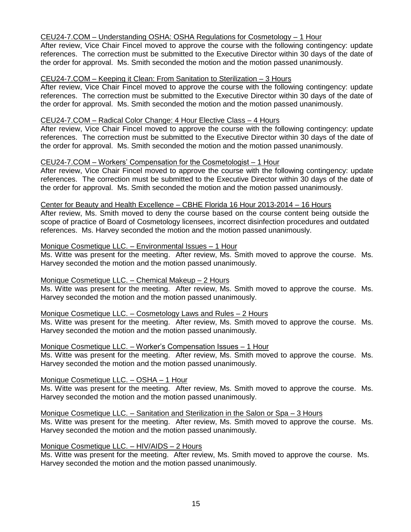### CEU24-7.COM – Understanding OSHA: OSHA Regulations for Cosmetology – 1 Hour

After review, Vice Chair Fincel moved to approve the course with the following contingency: update references. The correction must be submitted to the Executive Director within 30 days of the date of the order for approval. Ms. Smith seconded the motion and the motion passed unanimously.

### CEU24-7.COM – Keeping it Clean: From Sanitation to Sterilization – 3 Hours

After review, Vice Chair Fincel moved to approve the course with the following contingency: update references. The correction must be submitted to the Executive Director within 30 days of the date of the order for approval. Ms. Smith seconded the motion and the motion passed unanimously.

#### CEU24-7.COM – Radical Color Change: 4 Hour Elective Class – 4 Hours

After review, Vice Chair Fincel moved to approve the course with the following contingency: update references. The correction must be submitted to the Executive Director within 30 days of the date of the order for approval. Ms. Smith seconded the motion and the motion passed unanimously.

### CEU24-7.COM – Workers' Compensation for the Cosmetologist – 1 Hour

After review, Vice Chair Fincel moved to approve the course with the following contingency: update references. The correction must be submitted to the Executive Director within 30 days of the date of the order for approval. Ms. Smith seconded the motion and the motion passed unanimously.

#### Center for Beauty and Health Excellence – CBHE Florida 16 Hour 2013-2014 – 16 Hours

After review, Ms. Smith moved to deny the course based on the course content being outside the scope of practice of Board of Cosmetology licensees, incorrect disinfection procedures and outdated references. Ms. Harvey seconded the motion and the motion passed unanimously.

### Monique Cosmetique LLC. – Environmental Issues – 1 Hour

Ms. Witte was present for the meeting. After review, Ms. Smith moved to approve the course. Ms. Harvey seconded the motion and the motion passed unanimously.

# Monique Cosmetique LLC. – Chemical Makeup – 2 Hours

Ms. Witte was present for the meeting. After review, Ms. Smith moved to approve the course. Ms. Harvey seconded the motion and the motion passed unanimously.

#### Monique Cosmetique LLC. – Cosmetology Laws and Rules – 2 Hours

Ms. Witte was present for the meeting. After review, Ms. Smith moved to approve the course. Ms. Harvey seconded the motion and the motion passed unanimously.

#### Monique Cosmetique LLC. – Worker's Compensation Issues – 1 Hour

Ms. Witte was present for the meeting. After review, Ms. Smith moved to approve the course. Ms. Harvey seconded the motion and the motion passed unanimously.

# Monique Cosmetique LLC. – OSHA – 1 Hour

Ms. Witte was present for the meeting. After review, Ms. Smith moved to approve the course. Ms. Harvey seconded the motion and the motion passed unanimously.

#### Monique Cosmetique LLC. – Sanitation and Sterilization in the Salon or Spa – 3 Hours

Ms. Witte was present for the meeting. After review, Ms. Smith moved to approve the course. Ms. Harvey seconded the motion and the motion passed unanimously.

#### Monique Cosmetique LLC. – HIV/AIDS – 2 Hours

Ms. Witte was present for the meeting. After review, Ms. Smith moved to approve the course. Ms. Harvey seconded the motion and the motion passed unanimously.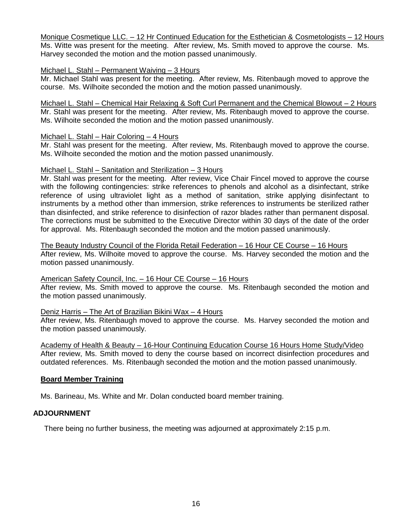Monique Cosmetique LLC. – 12 Hr Continued Education for the Esthetician & Cosmetologists – 12 Hours Ms. Witte was present for the meeting. After review, Ms. Smith moved to approve the course. Ms. Harvey seconded the motion and the motion passed unanimously.

#### Michael L. Stahl – Permanent Waiving – 3 Hours

Mr. Michael Stahl was present for the meeting. After review, Ms. Ritenbaugh moved to approve the course. Ms. Wilhoite seconded the motion and the motion passed unanimously.

Michael L. Stahl – Chemical Hair Relaxing & Soft Curl Permanent and the Chemical Blowout – 2 Hours Mr. Stahl was present for the meeting. After review, Ms. Ritenbaugh moved to approve the course. Ms. Wilhoite seconded the motion and the motion passed unanimously.

### Michael L. Stahl – Hair Coloring – 4 Hours

Mr. Stahl was present for the meeting. After review, Ms. Ritenbaugh moved to approve the course. Ms. Wilhoite seconded the motion and the motion passed unanimously.

### Michael L. Stahl – Sanitation and Sterilization – 3 Hours

Mr. Stahl was present for the meeting. After review, Vice Chair Fincel moved to approve the course with the following contingencies: strike references to phenols and alcohol as a disinfectant, strike reference of using ultraviolet light as a method of sanitation, strike applying disinfectant to instruments by a method other than immersion, strike references to instruments be sterilized rather than disinfected, and strike reference to disinfection of razor blades rather than permanent disposal. The corrections must be submitted to the Executive Director within 30 days of the date of the order for approval. Ms. Ritenbaugh seconded the motion and the motion passed unanimously.

The Beauty Industry Council of the Florida Retail Federation – 16 Hour CE Course – 16 Hours After review, Ms. Wilhoite moved to approve the course. Ms. Harvey seconded the motion and the motion passed unanimously.

# American Safety Council, Inc. – 16 Hour CE Course – 16 Hours

After review, Ms. Smith moved to approve the course. Ms. Ritenbaugh seconded the motion and the motion passed unanimously.

# Deniz Harris – The Art of Brazilian Bikini Wax – 4 Hours

After review, Ms. Ritenbaugh moved to approve the course. Ms. Harvey seconded the motion and the motion passed unanimously.

Academy of Health & Beauty – 16-Hour Continuing Education Course 16 Hours Home Study/Video After review, Ms. Smith moved to deny the course based on incorrect disinfection procedures and outdated references. Ms. Ritenbaugh seconded the motion and the motion passed unanimously.

# **Board Member Training**

Ms. Barineau, Ms. White and Mr. Dolan conducted board member training.

# **ADJOURNMENT**

There being no further business, the meeting was adjourned at approximately 2:15 p.m.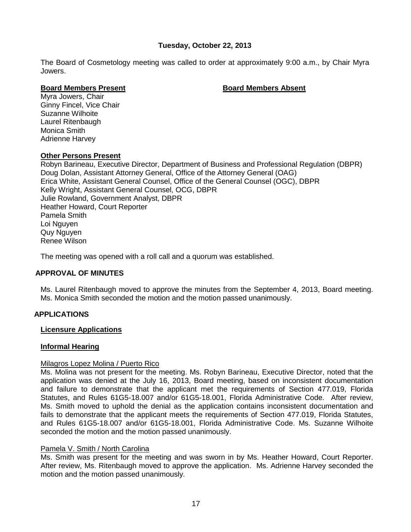# **Tuesday, October 22, 2013**

The Board of Cosmetology meeting was called to order at approximately 9:00 a.m., by Chair Myra Jowers.

# **Board Members Present Board Members Absent**

Myra Jowers, Chair Ginny Fincel, Vice Chair Suzanne Wilhoite Laurel Ritenbaugh Monica Smith Adrienne Harvey

### **Other Persons Present**

Robyn Barineau, Executive Director, Department of Business and Professional Regulation (DBPR) Doug Dolan, Assistant Attorney General, Office of the Attorney General (OAG) Erica White, Assistant General Counsel, Office of the General Counsel (OGC), DBPR Kelly Wright, Assistant General Counsel, OCG, DBPR Julie Rowland, Government Analyst, DBPR Heather Howard, Court Reporter Pamela Smith Loi Nguyen Quy Nguyen Renee Wilson

The meeting was opened with a roll call and a quorum was established.

# **APPROVAL OF MINUTES**

Ms. Laurel Ritenbaugh moved to approve the minutes from the September 4, 2013, Board meeting. Ms. Monica Smith seconded the motion and the motion passed unanimously.

# **APPLICATIONS**

#### **Licensure Applications**

# **Informal Hearing**

#### Milagros Lopez Molina / Puerto Rico

Ms. Molina was not present for the meeting. Ms. Robyn Barineau, Executive Director, noted that the application was denied at the July 16, 2013, Board meeting, based on inconsistent documentation and failure to demonstrate that the applicant met the requirements of Section 477.019, Florida Statutes, and Rules 61G5-18.007 and/or 61G5-18.001, Florida Administrative Code. After review, Ms. Smith moved to uphold the denial as the application contains inconsistent documentation and fails to demonstrate that the applicant meets the requirements of Section 477.019. Florida Statutes, and Rules 61G5-18.007 and/or 61G5-18.001, Florida Administrative Code. Ms. Suzanne Wilhoite seconded the motion and the motion passed unanimously.

# Pamela V. Smith / North Carolina

Ms. Smith was present for the meeting and was sworn in by Ms. Heather Howard, Court Reporter. After review, Ms. Ritenbaugh moved to approve the application. Ms. Adrienne Harvey seconded the motion and the motion passed unanimously.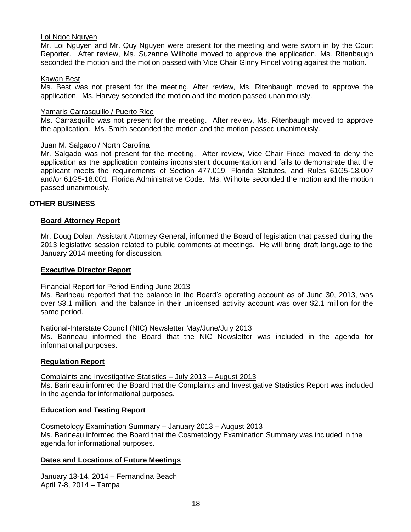#### Loi Ngoc Nguyen

Mr. Loi Nguyen and Mr. Quy Nguyen were present for the meeting and were sworn in by the Court Reporter. After review, Ms. Suzanne Wilhoite moved to approve the application. Ms. Ritenbaugh seconded the motion and the motion passed with Vice Chair Ginny Fincel voting against the motion.

#### Kawan Best

Ms. Best was not present for the meeting. After review, Ms. Ritenbaugh moved to approve the application. Ms. Harvey seconded the motion and the motion passed unanimously.

#### Yamaris Carrasquillo / Puerto Rico

Ms. Carrasquillo was not present for the meeting. After review, Ms. Ritenbaugh moved to approve the application. Ms. Smith seconded the motion and the motion passed unanimously.

#### Juan M. Salgado / North Carolina

Mr. Salgado was not present for the meeting. After review, Vice Chair Fincel moved to deny the application as the application contains inconsistent documentation and fails to demonstrate that the applicant meets the requirements of Section 477.019, Florida Statutes, and Rules 61G5-18.007 and/or 61G5-18.001, Florida Administrative Code. Ms. Wilhoite seconded the motion and the motion passed unanimously.

### **OTHER BUSINESS**

#### **Board Attorney Report**

Mr. Doug Dolan, Assistant Attorney General, informed the Board of legislation that passed during the 2013 legislative session related to public comments at meetings. He will bring draft language to the January 2014 meeting for discussion.

#### **Executive Director Report**

#### Financial Report for Period Ending June 2013

Ms. Barineau reported that the balance in the Board's operating account as of June 30, 2013, was over \$3.1 million, and the balance in their unlicensed activity account was over \$2.1 million for the same period.

#### National-Interstate Council (NIC) Newsletter May/June/July 2013

Ms. Barineau informed the Board that the NIC Newsletter was included in the agenda for informational purposes.

#### **Regulation Report**

# Complaints and Investigative Statistics – July 2013 – August 2013 Ms. Barineau informed the Board that the Complaints and Investigative Statistics Report was included

# in the agenda for informational purposes.

# **Education and Testing Report**

Cosmetology Examination Summary – January 2013 – August 2013 Ms. Barineau informed the Board that the Cosmetology Examination Summary was included in the agenda for informational purposes.

# **Dates and Locations of Future Meetings**

January 13-14, 2014 – Fernandina Beach April 7-8, 2014 – Tampa